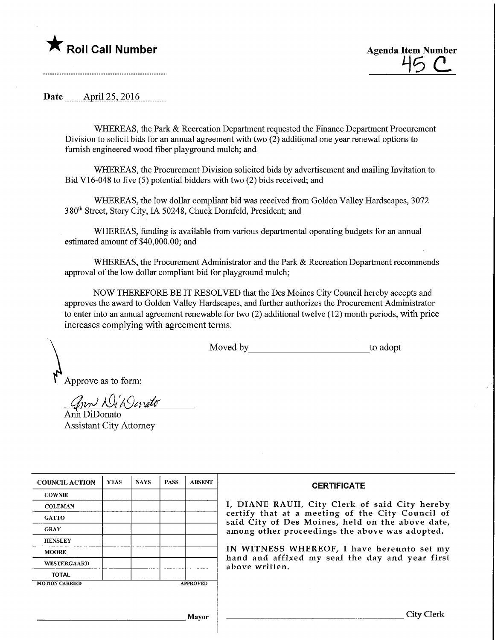



Date ....... April 25, 2016...........

WHEREAS, the Park & Recreation Department requested the Finance Department Procurement Division to solicit bids for an annual agreement with two (2) additional one year renewal options to furnish engineered wood fiber playground mulch; and

WHEREAS, the Procurement Division solicited bids by advertisement and mailing Invitation to Bid V16-048 to five (5) potential bidders with two (2) bids received; and

WHEREAS, the low dollar compliant bid was received from Golden Valley Hardscapes, 3072 380th Street, Story City, IA 50248, Chuck Domfeld, President; and

WHEREAS, funding is available from various departmental operating budgets for an annual estimated amount of \$40,000.00; and

WHEREAS, the Procurement Administrator and the Park & Recreation Department recommends approval of the low dollar compliant bid for playground mulch;

NOW THEREFORE BE IT RESOLVED that the Des Moines City Council hereby accepts and approves the award to Golden Valley Hardscapes, and further authorizes the Procurement Administrator to enter into an annual agreement renewable for two (2) additional twelve (12) month periods, with price increases complying with agreement terms.

Moved by to adopt

Approve as to form:

ann Wil Ocnato

Ann DiDonato Assistant City Attorney

| <b>COUNCIL ACTION</b> | <b>YEAS</b> | <b>NAYS</b> | <b>PASS</b> | <b>ABSENT</b>   | <b>CERTIFICATE</b>                                                                                                                                    |  |  |  |  |  |
|-----------------------|-------------|-------------|-------------|-----------------|-------------------------------------------------------------------------------------------------------------------------------------------------------|--|--|--|--|--|
| <b>COWNIE</b>         |             |             |             |                 |                                                                                                                                                       |  |  |  |  |  |
| <b>COLEMAN</b>        |             |             |             |                 | I, DIANE RAUH, City Clerk of said City hereby<br>certify that at a meeting of the City Council of<br>said City of Des Moines, held on the above date, |  |  |  |  |  |
| <b>GATTO</b>          |             |             |             |                 |                                                                                                                                                       |  |  |  |  |  |
| <b>GRAY</b>           |             |             |             |                 | among other proceedings the above was adopted.<br>IN WITNESS WHEREOF, I have hereunto set my                                                          |  |  |  |  |  |
| <b>HENSLEY</b>        |             |             |             |                 |                                                                                                                                                       |  |  |  |  |  |
| <b>MOORE</b>          |             |             |             |                 |                                                                                                                                                       |  |  |  |  |  |
| WESTERGAARD           |             |             |             |                 | hand and affixed my seal the day and year first<br>above written.                                                                                     |  |  |  |  |  |
| <b>TOTAL</b>          |             |             |             |                 |                                                                                                                                                       |  |  |  |  |  |
| <b>MOTION CARRIED</b> |             |             |             | <b>APPROVED</b> |                                                                                                                                                       |  |  |  |  |  |
|                       |             |             |             |                 |                                                                                                                                                       |  |  |  |  |  |
| Mayor                 |             |             |             |                 | <b>City Clerk</b>                                                                                                                                     |  |  |  |  |  |